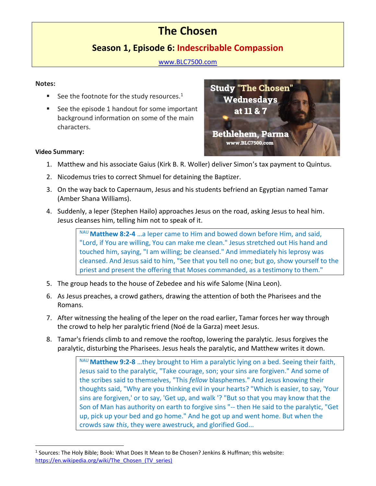# **The Chosen**

# **Season 1, Episode 6: Indescribable Compassion**

[www.BLC7500.com](http://www.blc7500.com/)

### **Notes:**

- See the footnote for the study resources. $<sup>1</sup>$ </sup>
- See the episode 1 handout for some important background information on some of the main characters.



## **Video Summary:**

- 1. Matthew and his associate Gaius (Kirk B. R. Woller) deliver Simon's tax payment to Quintus.
- 2. Nicodemus tries to correct Shmuel for detaining the Baptizer.
- 3. On the way back to Capernaum, Jesus and his students befriend an Egyptian named Tamar (Amber Shana Williams).
- 4. Suddenly, a leper (Stephen Hailo) approaches Jesus on the road, asking Jesus to heal him. Jesus cleanses him, telling him not to speak of it.

NAU **Matthew 8:2-4** …a leper came to Him and bowed down before Him, and said, "Lord, if You are willing, You can make me clean." Jesus stretched out His hand and touched him, saying, "I am willing; be cleansed." And immediately his leprosy was cleansed. And Jesus said to him, "See that you tell no one; but go, show yourself to the priest and present the offering that Moses commanded, as a testimony to them."

- 5. The group heads to the house of Zebedee and his wife Salome (Nina Leon).
- 6. As Jesus preaches, a crowd gathers, drawing the attention of both the Pharisees and the Romans.
- 7. After witnessing the healing of the leper on the road earlier, Tamar forces her way through the crowd to help her paralytic friend (Noé de la Garza) meet Jesus.
- 8. Tamar's friends climb to and remove the rooftop, lowering the paralytic. Jesus forgives the paralytic, disturbing the Pharisees. Jesus [heals the paralytic,](https://en.wikipedia.org/wiki/Healing_the_paralytic_at_Capernaum) and [Matthew](https://en.wikipedia.org/wiki/Matthew_9) writes it down.

NAU **Matthew 9:2-8** …they brought to Him a paralytic lying on a bed. Seeing their faith, Jesus said to the paralytic, "Take courage, son; your sins are forgiven." And some of the scribes said to themselves, "This *fellow* blasphemes." And Jesus knowing their thoughts said, "Why are you thinking evil in your hearts? "Which is easier, to say, 'Your sins are forgiven,' or to say, 'Get up, and walk '? "But so that you may know that the Son of Man has authority on earth to forgive sins "-- then He said to the paralytic, "Get up, pick up your bed and go home." And he got up and went home. But when the crowds saw *this*, they were awestruck, and glorified God...

<sup>&</sup>lt;sup>1</sup> Sources: The Holy Bible; Book: What Does It Mean to Be Chosen? Jenkins & Huffman; this website: https://en.wikipedia.org/wiki/The Chosen (TV series)